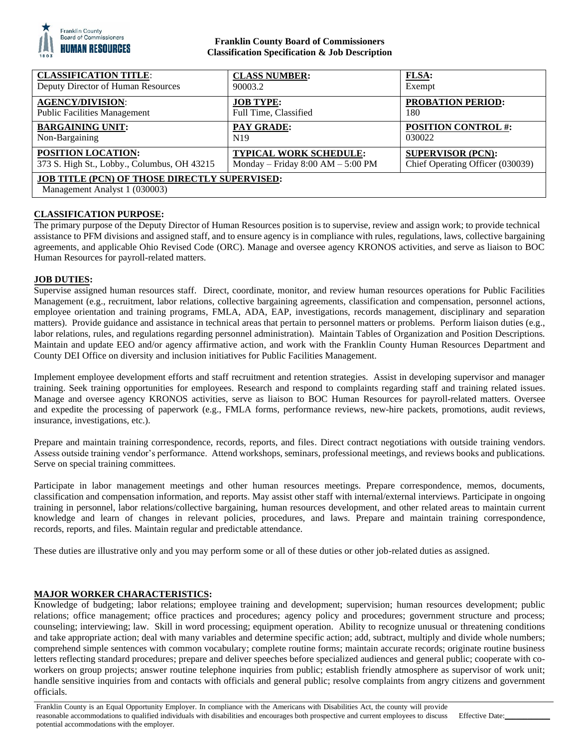

## **Franklin County Board of Commissioners Classification Specification & Job Description**

| <b>CLASSIFICATION TITLE:</b>                                                          | <b>CLASS NUMBER:</b>                | <b>FLSA:</b>                     |
|---------------------------------------------------------------------------------------|-------------------------------------|----------------------------------|
| Deputy Director of Human Resources                                                    | 90003.2                             | Exempt                           |
| <b>AGENCY/DIVISION:</b>                                                               | <b>JOB TYPE:</b>                    | <b>PROBATION PERIOD:</b>         |
| <b>Public Facilities Management</b>                                                   | Full Time, Classified               | 180                              |
| <b>BARGAINING UNIT:</b>                                                               | <b>PAY GRADE:</b>                   | <b>POSITION CONTROL #:</b>       |
| Non-Bargaining                                                                        | N <sub>19</sub>                     | 030022                           |
| POSITION LOCATION:                                                                    | <b>TYPICAL WORK SCHEDULE:</b>       | <b>SUPERVISOR (PCN):</b>         |
| 373 S. High St., Lobby., Columbus, OH 43215                                           | Monday – Friday $8:00 AM - 5:00 PM$ | Chief Operating Officer (030039) |
| <b>JOB TITLE (PCN) OF THOSE DIRECTLY SUPERVISED:</b><br>Management Analyst 1 (030003) |                                     |                                  |

# **CLASSIFICATION PURPOSE:**

The primary purpose of the Deputy Director of Human Resources position is to supervise, review and assign work; to provide technical assistance to PFM divisions and assigned staff, and to ensure agency is in compliance with rules, regulations, laws, collective bargaining agreements, and applicable Ohio Revised Code (ORC). Manage and oversee agency KRONOS activities, and serve as liaison to BOC Human Resources for payroll-related matters.

## **JOB DUTIES:**

Supervise assigned human resources staff. Direct, coordinate, monitor, and review human resources operations for Public Facilities Management (e.g., recruitment, labor relations, collective bargaining agreements, classification and compensation, personnel actions, employee orientation and training programs, FMLA, ADA, EAP, investigations, records management, disciplinary and separation matters). Provide guidance and assistance in technical areas that pertain to personnel matters or problems. Perform liaison duties (e.g., labor relations, rules, and regulations regarding personnel administration). Maintain Tables of Organization and Position Descriptions. Maintain and update EEO and/or agency affirmative action, and work with the Franklin County Human Resources Department and County DEI Office on diversity and inclusion initiatives for Public Facilities Management.

Implement employee development efforts and staff recruitment and retention strategies. Assist in developing supervisor and manager training. Seek training opportunities for employees. Research and respond to complaints regarding staff and training related issues. Manage and oversee agency KRONOS activities, serve as liaison to BOC Human Resources for payroll-related matters. Oversee and expedite the processing of paperwork (e.g., FMLA forms, performance reviews, new-hire packets, promotions, audit reviews, insurance, investigations, etc.).

Prepare and maintain training correspondence, records, reports, and files. Direct contract negotiations with outside training vendors. Assess outside training vendor's performance. Attend workshops, seminars, professional meetings, and reviews books and publications. Serve on special training committees.

Participate in labor management meetings and other human resources meetings. Prepare correspondence, memos, documents, classification and compensation information, and reports. May assist other staff with internal/external interviews. Participate in ongoing training in personnel, labor relations/collective bargaining, human resources development, and other related areas to maintain current knowledge and learn of changes in relevant policies, procedures, and laws. Prepare and maintain training correspondence, records, reports, and files. Maintain regular and predictable attendance.

These duties are illustrative only and you may perform some or all of these duties or other job-related duties as assigned.

## **MAJOR WORKER CHARACTERISTICS:**

Knowledge of budgeting; labor relations; employee training and development; supervision; human resources development; public relations; office management; office practices and procedures; agency policy and procedures; government structure and process; counseling; interviewing; law. Skill in word processing; equipment operation. Ability to recognize unusual or threatening conditions and take appropriate action; deal with many variables and determine specific action; add, subtract, multiply and divide whole numbers; comprehend simple sentences with common vocabulary; complete routine forms; maintain accurate records; originate routine business letters reflecting standard procedures; prepare and deliver speeches before specialized audiences and general public; cooperate with coworkers on group projects; answer routine telephone inquiries from public; establish friendly atmosphere as supervisor of work unit; handle sensitive inquiries from and contacts with officials and general public; resolve complaints from angry citizens and government officials.